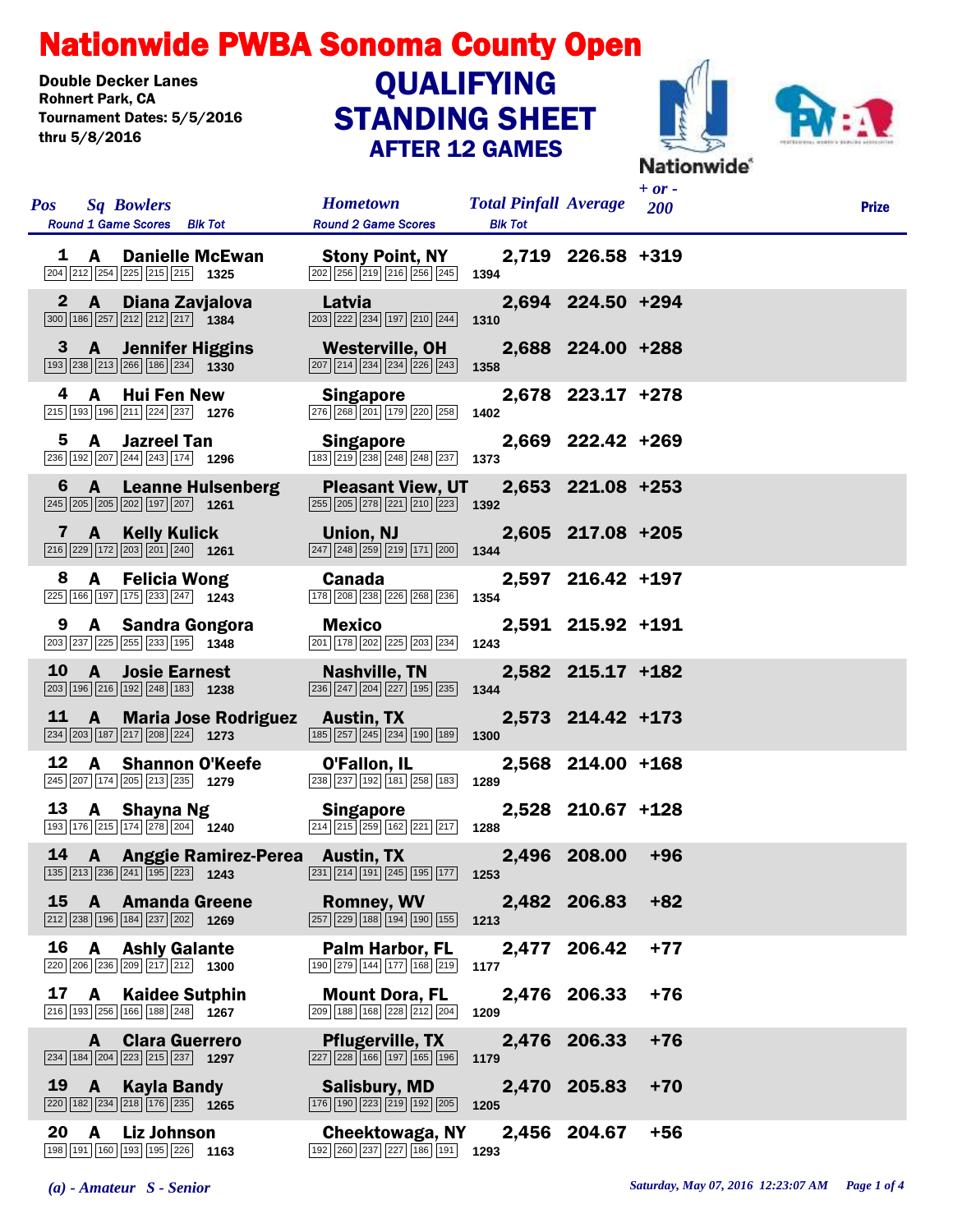## Nationwide PWBA Sonoma County Open

Double Decker Lanes<br>Rohnert Park. CA Tournament Dates: 5/5/2016 thru 5/8/2016

## STANDING SHEET AFTER 12 GAMES **QUALIFYING**





| <b>Pos</b>  | <b>Sq Bowlers</b><br>Round 1 Game Scores Blk Tot                                                                                        |      | <b>Hometown</b><br><b>Round 2 Game Scores</b>                                                                                                 | <b>Total Pinfall Average</b> 200<br><b>Blk Tot</b> |                   | $+$ or $-$ | <b>Prize</b> |
|-------------|-----------------------------------------------------------------------------------------------------------------------------------------|------|-----------------------------------------------------------------------------------------------------------------------------------------------|----------------------------------------------------|-------------------|------------|--------------|
|             | 1 A Danielle McEwan<br>$\boxed{204}$ $\boxed{212}$ $\boxed{254}$ $\boxed{225}$ $\boxed{215}$ $\boxed{215}$ <b>1325</b>                  |      | <b>Stony Point, NY</b><br>$\overline{202}$ $\overline{256}$ $\overline{219}$ $\overline{216}$ $\overline{256}$ $\overline{245}$ <b>1394</b>   |                                                    | 2,719 226.58 +319 |            |              |
| $\mathbf 2$ | $\mathbf{A}$<br>Diana Zavjalova<br>300 186 257 212 212 217 1384                                                                         |      | Latvia<br>203 222 234 197 210 244                                                                                                             | 1310                                               | 2,694 224.50 +294 |            |              |
| 3           | <b>A</b> Jennifer Higgins<br>193 238 213 266 186 234 1330                                                                               |      | Westerville, OH<br>$\boxed{207}$ $\boxed{214}$ $\boxed{234}$ $\boxed{234}$ $\boxed{226}$ $\boxed{243}$                                        | 1358                                               | 2,688 224.00 +288 |            |              |
| 4           | <b>Hui Fen New</b><br>A<br>215 193 196 211 224 237 1276                                                                                 |      | <b>Singapore</b><br>276 268 201 179 220 258                                                                                                   | 1402                                               | 2,678 223.17 +278 |            |              |
| 5           | A<br><b>Jazreel Tan</b><br>236 192 207 244 243 174 1296                                                                                 |      | <b>Singapore</b><br>183 219 238 248 248 237                                                                                                   | 1373                                               | 2,669 222.42 +269 |            |              |
|             | 6 A Leanne Hulsenberg<br>245 205 205 202 197 207 1261                                                                                   |      | <b>Pleasant View, UT</b><br>$\overline{255}$ $\overline{205}$ $\overline{278}$ $\overline{221}$ $\overline{210}$ $\overline{223}$ <b>1392</b> |                                                    | 2,653 221.08 +253 |            |              |
|             | 7 A Kelly Kulick<br>$\boxed{216}\boxed{229}\boxed{172}\boxed{203}\boxed{201}\boxed{240}$ 1261                                           |      | Union, NJ<br>247 248 259 219 171 200                                                                                                          | 1344                                               | 2,605 217.08 +205 |            |              |
|             | 8 A Felicia Wong<br>225 166 197 175 233 247 1243                                                                                        |      | <b>Canada</b><br>178 208 238 226 268 236                                                                                                      | 1354                                               | 2,597 216.42 +197 |            |              |
|             | 9 A Sandra Gongora<br>203 237 225 255 233 195 1348                                                                                      |      | Mexico<br>201 178 202 225 203 234                                                                                                             | 1243                                               | 2,591 215.92 +191 |            |              |
| 10          | <b>A</b> Josie Earnest<br>203 196 216 192 248 183 1238                                                                                  |      | Nashville, TN<br>$\fbox{236}\fbox{247}\fbox{204}\fbox{227}\fbox{195}\fbox{235}$                                                               | 1344                                               | 2,582 215.17 +182 |            |              |
| 11          | $\mathbf{A}$<br>234 203 187 217 208 224 1273                                                                                            |      | Maria Jose Rodriguez Austin, TX<br>185 257 245 234 190 189                                                                                    | 1300                                               | 2,573 214.42 +173 |            |              |
| 12          | A Shannon O'Keefe<br>245 207 174 205 213 235 1279                                                                                       |      | O'Fallon, IL<br>238 237 192 181 258 183                                                                                                       | 1289                                               | 2,568 214.00 +168 |            |              |
| 13          | A Shayna Ng<br>$\overline{193}$ 176 215 174 278 204 1240                                                                                |      | Singapore<br>$\boxed{214}$ $\boxed{215}$ $\boxed{259}$ $\boxed{162}$ $\boxed{221}$ $\boxed{217}$                                              | 1288                                               | 2,528 210.67 +128 |            |              |
|             | 14 A Anggie Ramirez-Perea Austin, TX<br>$\boxed{135}$ $\boxed{213}$ $\boxed{236}$ $\boxed{241}$ $\boxed{195}$ $\boxed{223}$ <b>1243</b> |      | 231 214 191 245 195 177 1253                                                                                                                  |                                                    | 2,496 208.00      | $+96$      |              |
| <b>15</b>   | A Amanda Greene<br>212 238 196 184 237 202 1269                                                                                         |      | <b>Romney, WV</b><br>$\boxed{257}$ $\boxed{229}$ $\boxed{188}$ $\boxed{194}$ $\boxed{190}$ $\boxed{155}$                                      | 1213                                               | 2,482 206.83      | $+82$      |              |
| 16          | <b>Ashly Galante</b><br>A<br>220 206 236 209 217 212 1300                                                                               |      | <b>Palm Harbor, FL</b><br>190 279 144 177 168 219                                                                                             | 2,477<br>1177                                      | 206.42            | $+77$      |              |
| 17          | <b>Kaidee Sutphin</b><br>A<br>216 193 256 166 188 248 1267                                                                              |      | <b>Mount Dora, FL</b><br>209 188 168 228 212 204                                                                                              | 1209                                               | 2,476 206.33      | $+76$      |              |
|             | <b>Clara Guerrero</b><br>A<br>234 184 204 223 215 237 1297                                                                              |      | <b>Pflugerville, TX</b><br>227 228 166 197 165 196                                                                                            | 1179                                               | 2,476 206.33      | $+76$      |              |
| 19          | <b>Kayla Bandy</b><br>$\mathbf{A}$<br>220 182 234 218 176 235 1265                                                                      |      | <b>Salisbury, MD</b><br>176 190 223 219 192 205                                                                                               | 1205                                               | 2,470 205.83      | $+70$      |              |
| 20          | <b>Liz Johnson</b><br>A<br>198 191 160 193 195 226                                                                                      | 1163 | Cheektowaga, NY<br>192 260 237 227 186 191                                                                                                    | 1293                                               | 2,456 204.67      | $+56$      |              |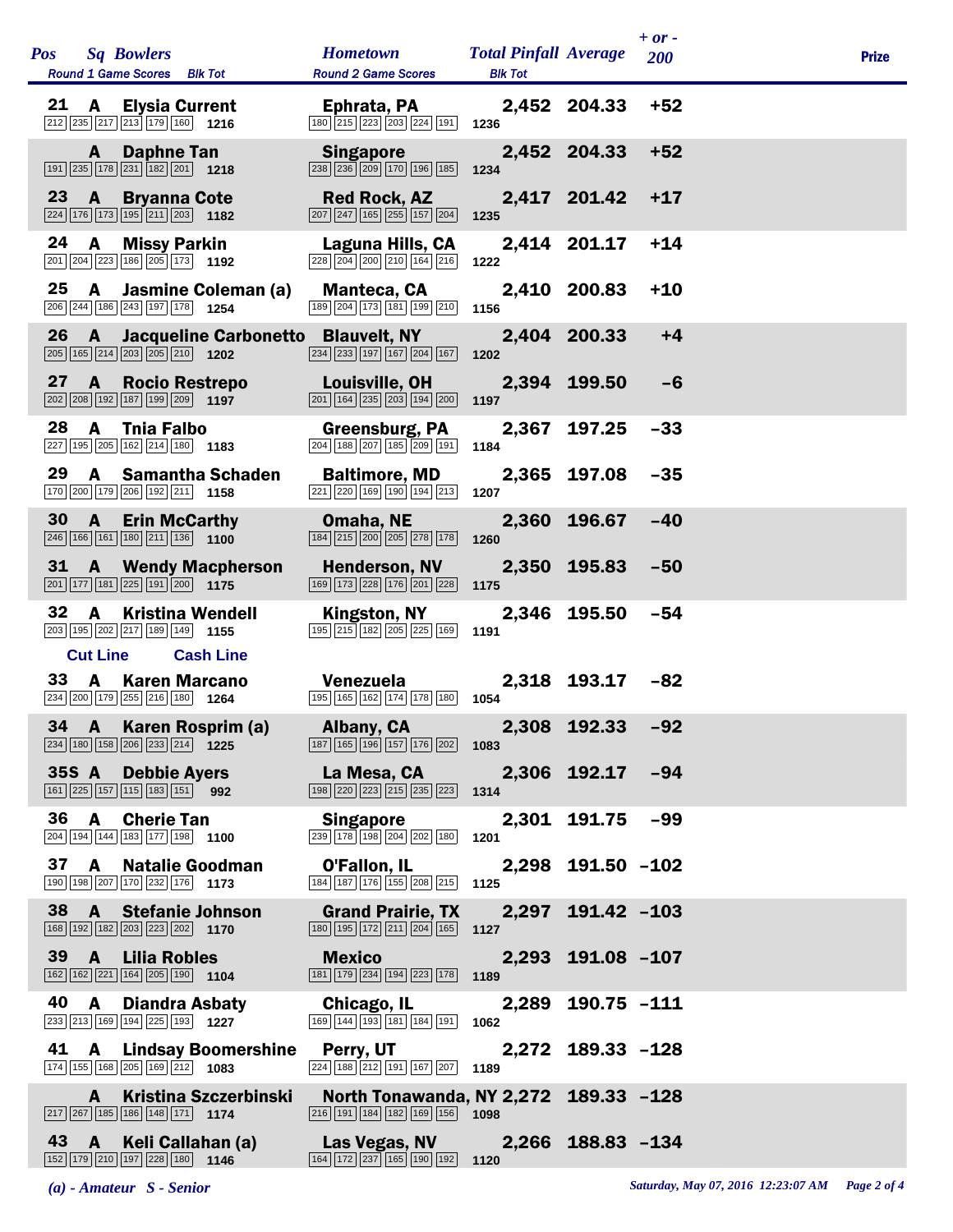|              |                 | Pos Sq Bowlers<br><b>Round 1 Game Scores</b> Blk Tot                                                                                       | <b>Hometown</b><br><b>Round 2 Game Scores</b>                                                                                  | <b>Total Pinfall Average</b><br><b>Blk Tot</b> |                   | $+ or -$<br>200 | <b>Prize</b> |  |
|--------------|-----------------|--------------------------------------------------------------------------------------------------------------------------------------------|--------------------------------------------------------------------------------------------------------------------------------|------------------------------------------------|-------------------|-----------------|--------------|--|
| 21           | <b>A</b>        | <b>Elysia Current</b><br>$212$ 235 217 213 179 160 1216                                                                                    | Ephrata, PA<br>180 215 223 203 224 191                                                                                         | 1236                                           | 2,452 204.33      | $+52$           |              |  |
|              | A –             | <b>Daphne Tan</b><br>$\boxed{191}$ $\boxed{235}$ $\boxed{178}$ $\boxed{231}$ $\boxed{182}$ $\boxed{201}$ 1218                              | <b>Singapore</b><br>238 236 209 170 196 185                                                                                    | 1234                                           | 2,452 204.33      | $+52$           |              |  |
| $23 \quad A$ |                 | <b>Bryanna Cote</b><br>224 176 173 195 211 203 1182                                                                                        | <b>Red Rock, AZ</b><br>$\boxed{207}$ $\boxed{247}$ $\boxed{165}$ $\boxed{255}$ $\boxed{157}$ $\boxed{204}$                     | 1235                                           | 2,417 201.42      | $+17$           |              |  |
| 24 A         |                 | <b>Missy Parkin</b><br>201 204 223 186 205 173 192                                                                                         | Laguna Hills, CA<br>$\boxed{228}\ \boxed{204}\ \boxed{200}\ \boxed{210}\ \boxed{164}\ \boxed{216}$                             | 1222                                           | 2,414 201.17      | $+14$           |              |  |
| 25           | <b>A</b>        | Jasmine Coleman (a)<br>206 244 186 243 197 178 1254                                                                                        | Manteca, CA<br>189 204 173 181 199 210 1156                                                                                    |                                                | 2,410 200.83      | $+10$           |              |  |
|              |                 | 26 A Jacqueline Carbonetto Blauvelt, NY<br>$\boxed{205}$ $\boxed{165}$ $\boxed{214}$ $\boxed{203}$ $\boxed{205}$ $\boxed{210}$ <b>1202</b> | $\boxed{234}$ $\boxed{233}$ $\boxed{197}$ $\boxed{167}$ $\boxed{204}$ $\boxed{167}$                                            | 1202                                           | 2,404 200.33      | $+4$            |              |  |
| 27           | <b>A</b>        | <b>Rocio Restrepo</b><br>$\boxed{202}$ $\boxed{208}$ $\boxed{192}$ $\boxed{187}$ $\boxed{199}$ $\boxed{209}$ <b>1197</b>                   | Louisville, OH<br>$\boxed{201}$ $\boxed{164}$ $\boxed{235}$ $\boxed{203}$ $\boxed{194}$ $\boxed{200}$ <b>1197</b>              |                                                | 2,394 199.50      | -6              |              |  |
| 28           | $\mathbf{A}$    | Tnia Falbo<br>227 195 205 162 214 180 1183                                                                                                 | Greensburg, PA<br>$\boxed{204}$ $\boxed{188}$ $\boxed{207}$ $\boxed{185}$ $\boxed{209}$ $\boxed{191}$                          | 1184                                           | 2,367 197.25      | $-33$           |              |  |
| 29           | <b>A</b>        | <b>Samantha Schaden</b><br>170 200 179 206 192 211 1158                                                                                    | <b>Baltimore, MD</b><br>$\boxed{221}$ $\boxed{220}$ $\boxed{169}$ $\boxed{190}$ $\boxed{194}$ $\boxed{213}$                    | 1207                                           | 2,365 197.08      | $-35$           |              |  |
| 30           | $\overline{A}$  | <b>Erin McCarthy</b><br>$\boxed{246}$ 166 161 180 211 136 1100                                                                             | Omaha, NE<br>$\boxed{184}\boxed{215}\boxed{200}\boxed{205}\boxed{278}\boxed{178}$                                              | 1260                                           | 2,360 196.67      | $-40$           |              |  |
| 31           |                 | <b>A</b> Wendy Macpherson<br>$\boxed{201}$ 177 181 225 191 200 1175                                                                        | <b>Henderson, NV</b><br>169 173 228 176 201 228                                                                                | 1175                                           | 2,350 195.83      | $-50$           |              |  |
| 32           | A               | <b>Kristina Wendell</b><br>203 195 202 217 189 149 1155                                                                                    | Kingston, NY<br>195 215 182 205 225 169                                                                                        | 1191                                           | 2,346 195.50      | $-54$           |              |  |
|              | <b>Cut Line</b> | <b>Cash Line</b>                                                                                                                           |                                                                                                                                |                                                |                   |                 |              |  |
| 33           | <b>A</b>        | <b>Karen Marcano</b><br>234 200 179 255 216 180 1264                                                                                       | Venezuela<br>195 165 162 174 178 180 1054                                                                                      |                                                | 2,318 193.17 -82  |                 |              |  |
|              |                 | 34 A Karen Rosprim (a)<br>234 180 158 206 233 214 1225                                                                                     | <b>Example 2 Albany, CA</b><br>$\boxed{187}$ $\boxed{165}$ $\boxed{196}$ $\boxed{157}$ $\boxed{176}$ $\boxed{202}$ <b>1083</b> |                                                | 2,308 192.33 -92  |                 |              |  |
|              |                 | 35S A Debbie Ayers<br>$\boxed{161}$ $\boxed{225}$ $\boxed{157}$ $\boxed{115}$ $\boxed{183}$ $\boxed{151}$ 992                              | La Mesa, CA<br>[198   220   223   215   235   223                                                                              | 1314                                           | 2,306 192.17 -94  |                 |              |  |
| 36 A         |                 | <b>Cherie Tan</b><br>204 194 144 183 177 198 1100                                                                                          | <b>Singapore</b><br>239 178 198 204 202 180                                                                                    | 1201                                           | 2,301 191.75 -99  |                 |              |  |
|              |                 | 37 A Natalie Goodman<br>190 198 207 170 232 176 1173                                                                                       | O'Fallon, IL<br>184 187 176 155 208 215                                                                                        | 1125                                           | 2,298 191.50 -102 |                 |              |  |
| 38 A         |                 | <b>Stefanie Johnson</b><br>168 192 182 203 223 202 1170                                                                                    | <b>Grand Prairie, TX</b><br>180 195 172 211 204 165 1127                                                                       |                                                | 2,297 191.42 -103 |                 |              |  |
| $39 \quad A$ |                 | Lilia Robles<br>$\boxed{162}$ $\boxed{162}$ $\boxed{221}$ $\boxed{164}$ $\boxed{205}$ $\boxed{190}$ <b>1104</b>                            | <b>Mexico Mexico</b><br>$\boxed{181}$ $\boxed{179}$ $\boxed{234}$ $\boxed{194}$ $\boxed{223}$ $\boxed{178}$ <b>1189</b>        |                                                | 2,293 191.08 -107 |                 |              |  |
| 40           | <b>A</b>        | Diandra Asbaty<br>233 213 169 194 225 193 1227                                                                                             | Chicago, IL<br>169 144 193 181 184 191                                                                                         | 1062                                           | 2,289 190.75 -111 |                 |              |  |
|              |                 | 41 A Lindsay Boomershine<br>174 155 168 205 169 212 1083                                                                                   | Perry, UT<br>224 188 212 191 167 207                                                                                           | 1189                                           | 2,272 189.33 -128 |                 |              |  |
|              | A               | <b>Kristina Szczerbinski</b><br>$\boxed{217}$ $\boxed{267}$ $\boxed{185}$ $\boxed{186}$ $\boxed{148}$ $\boxed{171}$ <b>1174</b>            | North Tonawanda, NY 2,272 189.33 -128<br>$\boxed{216}$ 191 184 182 169 156 1098                                                |                                                |                   |                 |              |  |
|              |                 | 43 A Keli Callahan (a)<br>152 179 210 197 228 180 1146                                                                                     | Las Vegas, NV 2,266 188.83 -134<br>164 172 237 165 190 192                                                                     | 1120                                           |                   |                 |              |  |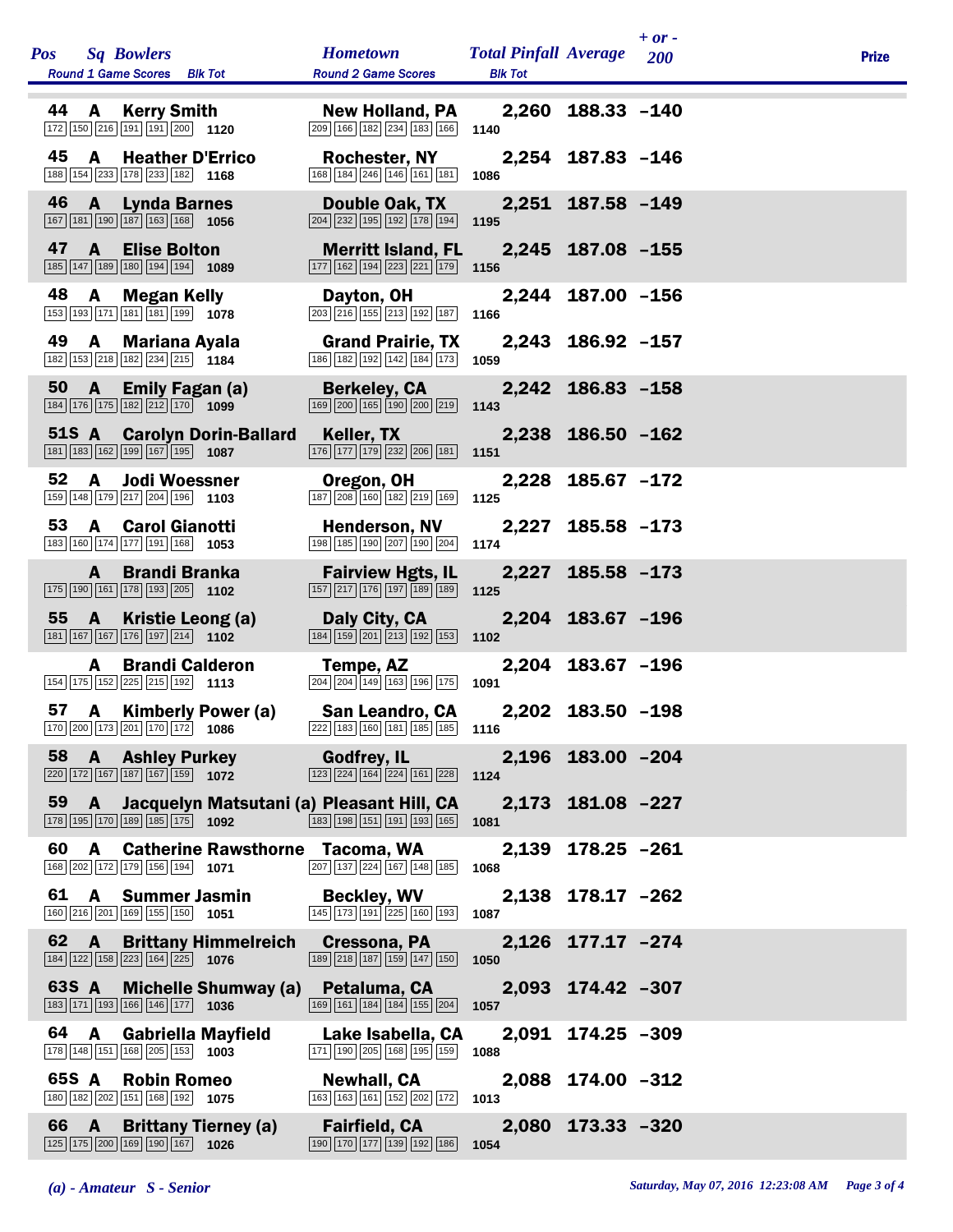| Pos Sq Bowlers<br>Round 1 Game Scores Blk Tot                                                                                 | <b>Hometown</b><br><b>Round 2 Game Scores</b>                                                                                | <b>Total Pinfall Average</b><br><b>Blk Tot</b> |                   | $+ or -$<br>200 | <b>Prize</b> |
|-------------------------------------------------------------------------------------------------------------------------------|------------------------------------------------------------------------------------------------------------------------------|------------------------------------------------|-------------------|-----------------|--------------|
| 44<br><b>A</b> Kerry Smith<br>$\boxed{172}$ $\boxed{150}$ $\boxed{216}$ $\boxed{191}$ $\boxed{191}$ $\boxed{200}$ <b>1120</b> | New Holland, PA 2,260 188.33 -140<br>$\boxed{209}$ $\boxed{166}$ $\boxed{182}$ $\boxed{234}$ $\boxed{183}$ $\boxed{166}$     | 1140                                           |                   |                 |              |
| 45<br>$\mathbf{A}$<br><b>Heather D'Errico</b><br>188 154 233 178 233 182 1168                                                 | <b>Rochester, NY</b><br>168 184 246 146 161 181                                                                              | 1086                                           | 2,254 187.83 -146 |                 |              |
| 46<br>$\overline{A}$<br><b>Lynda Barnes</b><br>167 181 190 187 163 168 1056                                                   | Double Oak, TX<br>$\boxed{204}$ $\boxed{232}$ $\boxed{195}$ $\boxed{192}$ $\boxed{178}$ $\boxed{194}$                        | 1195                                           | 2,251 187.58 -149 |                 |              |
| 47<br><b>A</b><br><b>Elise Bolton</b><br>185 147 189 180 194 194 1089                                                         | <b>Merritt Island, FL</b><br>$\boxed{177}$ $\boxed{162}$ $\boxed{194}$ $\boxed{223}$ $\boxed{221}$ $\boxed{179}$ <b>1156</b> |                                                | 2,245 187.08 -155 |                 |              |
| 48<br>A<br>Megan Kelly<br>153 193 171 181 181 199 1078                                                                        | Dayton, OH<br>203 216 155 213 192 187                                                                                        | 1166                                           | 2,244 187.00 -156 |                 |              |
| 49<br><b>A</b><br>Mariana Ayala<br>182 153 218 182 234 215 1184                                                               | <b>Grand Prairie, TX</b><br>186 182 192 142 184 173                                                                          | 1059                                           | 2,243 186.92 -157 |                 |              |
| 50<br>$\mathbf{A}$<br><b>Emily Fagan (a)</b><br>184 176 175 182 212 170 1099                                                  | <b>Berkeley, CA</b><br>169 200 165 190 200 219                                                                               | 1143                                           | 2,242 186.83 -158 |                 |              |
| 51S A Carolyn Dorin-Ballard<br>181 183 162 199 167 195 1087                                                                   | Keller, TX<br>$\boxed{176}$ $\boxed{177}$ $\boxed{179}$ $\boxed{232}$ $\boxed{206}$ $\boxed{181}$ <b>1151</b>                |                                                | 2,238 186.50 -162 |                 |              |
| 52<br><b>Jodi Woessner</b><br>$\mathbf{A}$<br>159 148 179 217 204 196 1103                                                    | Oregon, OH<br>187 208 160 182 219 169                                                                                        | 1125                                           | 2,228 185.67 -172 |                 |              |
| 53<br>A<br><b>Carol Gianotti</b><br>183 160 174 177 191 168 1053                                                              | <b>Henderson, NV</b><br>198 185 190 207 190 204                                                                              | 1174                                           | 2,227 185.58 -173 |                 |              |
| <b>Brandi Branka</b><br>$\mathbf{A}$<br>175 190 161 178 193 205 1102                                                          | <b>Fairview Hgts, IL</b><br>157 217 176 197 189 189                                                                          | 1125                                           | 2,227 185.58 -173 |                 |              |
| 55<br>$\mathbf{A}$<br>Kristie Leong (a)<br>181 167 167 176 197 214 1102                                                       | Daly City, CA<br>184 159 201 213 192 153                                                                                     | 1102                                           | 2,204 183.67 -196 |                 |              |
| <b>Brandi Calderon</b><br>A<br>154 175 152 225 215 192 1113                                                                   | Tempe, AZ<br>204 204 149 163 196 175                                                                                         | 1091                                           | 2,204 183.67 -196 |                 |              |
| 57 A Kimberly Power (a)<br>$\boxed{170}\boxed{200}\boxed{173}\boxed{201}\boxed{170}\boxed{172}$ 1086                          | San Leandro, CA<br>$\overline{222}$ 183 160 181 185 185 185 1116                                                             |                                                | 2,202 183.50 -198 |                 |              |
| 58<br><b>A</b> Ashley Purkey<br>$\boxed{220}$ 172 167 187 167 159 1072                                                        | <b>Godfrey, IL</b><br>$\boxed{123}\boxed{224}\boxed{164}\boxed{224}\boxed{161}\boxed{228}$                                   | 1124                                           | 2,196 183.00 -204 |                 |              |
| 59<br>Jacquelyn Matsutani (a) Pleasant Hill, CA<br>$\mathbf{A}$<br>178 195 170 189 185 175 1092                               | 183 198 151 191 193 165                                                                                                      | 1081                                           | 2,173 181.08 -227 |                 |              |
| 60<br>A<br><b>Catherine Rawsthorne Tacoma, WA</b><br>168 202 172 179 156 194 1071                                             | $\boxed{207}$ $\boxed{137}$ $\boxed{224}$ $\boxed{167}$ $\boxed{148}$ $\boxed{185}$                                          | 2,139<br>1068                                  | $178.25 - 261$    |                 |              |
| 61<br><b>Summer Jasmin</b><br>A<br>160 216 201 169 155 150 1051                                                               | <b>Beckley, WV</b><br>$\boxed{145}$ $\boxed{173}$ $\boxed{191}$ $\boxed{225}$ $\boxed{160}$ $\boxed{193}$                    | 1087                                           | 2,138 178.17 -262 |                 |              |
| 62 A<br><b>Brittany Himmelreich</b><br>184 122 158 223 164 225 1076                                                           | Cressona, PA<br>189 218 187 159 147 150                                                                                      | 1050                                           | 2,126 177.17 -274 |                 |              |
| 63S A<br><b>Michelle Shumway (a)</b><br>183 171 193 166 146 177 1036                                                          | Petaluma, CA<br>169 161 184 184 155 204                                                                                      | 1057                                           | 2,093 174.42 -307 |                 |              |
| 64<br>$\mathbf{A}$<br><b>Gabriella Mayfield</b><br>178 148 151 168 205 153 1003                                               | Lake Isabella, CA<br>171 190 205 168 195 159                                                                                 | 1088                                           | 2,091 174.25 -309 |                 |              |
| 65S A<br><b>Robin Romeo</b><br>180 182 202 151 168 192 1075                                                                   | Newhall, CA<br>163 163 161 152 202 172                                                                                       | 1013                                           | 2,088 174.00 -312 |                 |              |
| 66<br>$\mathbf{A}$<br><b>Brittany Tierney (a)</b><br>125 175 200 169 190 167 1026                                             | <b>Fairfield, CA</b><br>190 170 177 139 192 186                                                                              | 1054                                           | 2,080 173.33 -320 |                 |              |